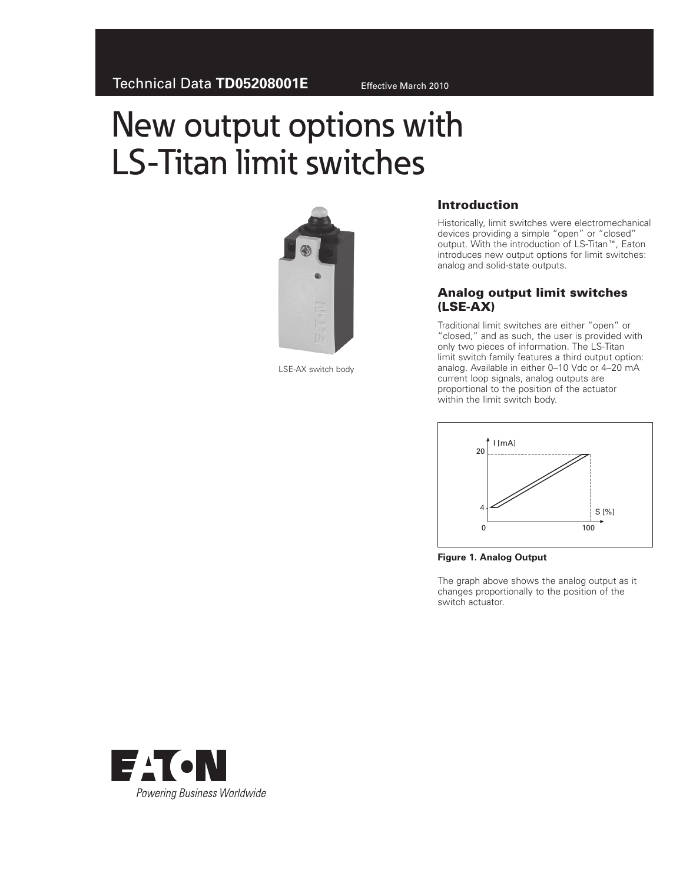# New output options with LS-Titan limit switches



LSE-AX switch body

## Introduction

Historically, limit switches were electromechanical devices providing a simple "open" or "closed" output. With the introduction of LS-Titan™, Eaton introduces new output options for limit switches: analog and solid-state outputs.

#### Analog output limit switches (LSE-AX)

Traditional limit switches are either "open" or "closed," and as such, the user is provided with only two pieces of information. The LS-Titan limit switch family features a third output option: analog. Available in either 0–10 Vdc or 4–20 mA current loop signals, analog outputs are proportional to the position of the actuator within the limit switch body.



**Figure 1. Analog Output**

The graph above shows the analog output as it changes proportionally to the position of the switch actuator.